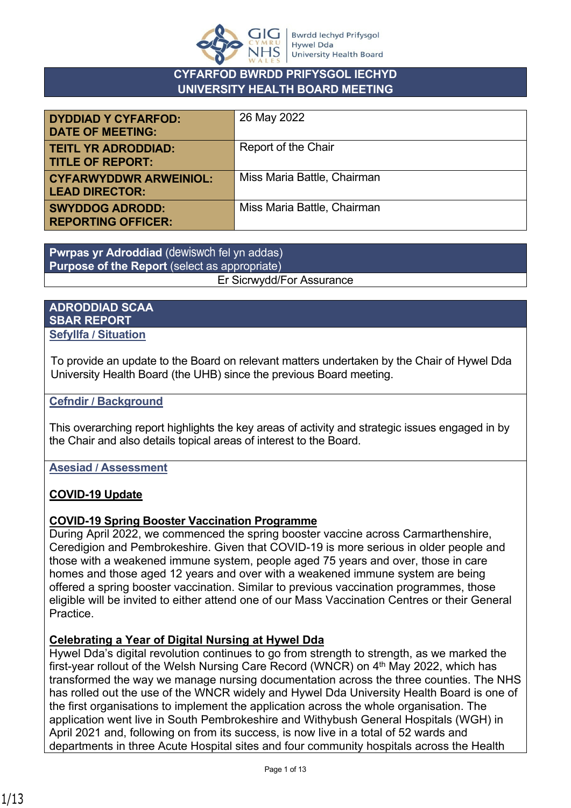

#### **CYFARFOD BWRDD PRIFYSGOL IECHYD UNIVERSITY HEALTH BOARD MEETING**

| <b>DYDDIAD Y CYFARFOD:</b><br><b>DATE OF MEETING:</b>  | 26 May 2022                 |
|--------------------------------------------------------|-----------------------------|
| <b>TEITL YR ADRODDIAD:</b><br><b>TITLE OF REPORT:</b>  | Report of the Chair         |
| <b>CYFARWYDDWR ARWEINIOL:</b><br><b>LEAD DIRECTOR:</b> | Miss Maria Battle, Chairman |
| <b>SWYDDOG ADRODD:</b><br><b>REPORTING OFFICER:</b>    | Miss Maria Battle, Chairman |

**Pwrpas yr Adroddiad** (dewiswch fel yn addas) **Purpose of the Report** (select as appropriate) Er Sicrwydd/For Assurance

#### **ADRODDIAD SCAA SBAR REPORT Sefyllfa / Situation**

To provide an update to the Board on relevant matters undertaken by the Chair of Hywel Dda University Health Board (the UHB) since the previous Board meeting.

### **Cefndir / Background**

This overarching report highlights the key areas of activity and strategic issues engaged in by the Chair and also details topical areas of interest to the Board.

### **Asesiad / Assessment**

# **COVID-19 Update**

### **COVID-19 Spring Booster Vaccination Programme**

During April 2022, we commenced the spring booster vaccine across Carmarthenshire, Ceredigion and Pembrokeshire. Given that COVID-19 is more serious in older people and those with a weakened immune system, people aged 75 years and over, those in care homes and those aged 12 years and over with a weakened immune system are being offered a spring booster vaccination. Similar to previous vaccination programmes, those eligible will be invited to either attend one of our Mass Vaccination Centres or their General Practice.

### **Celebrating a Year of Digital Nursing at Hywel Dda**

Hywel Dda's digital revolution continues to go from strength to strength, as we marked the first-year rollout of the Welsh Nursing Care Record (WNCR) on 4<sup>th</sup> May 2022, which has transformed the way we manage nursing documentation across the three counties. The NHS has rolled out the use of the WNCR widely and Hywel Dda University Health Board is one of the first organisations to implement the application across the whole organisation. The application went live in South Pembrokeshire and Withybush General Hospitals (WGH) in April 2021 and, following on from its success, is now live in a total of 52 wards and departments in three Acute Hospital sites and four community hospitals across the Health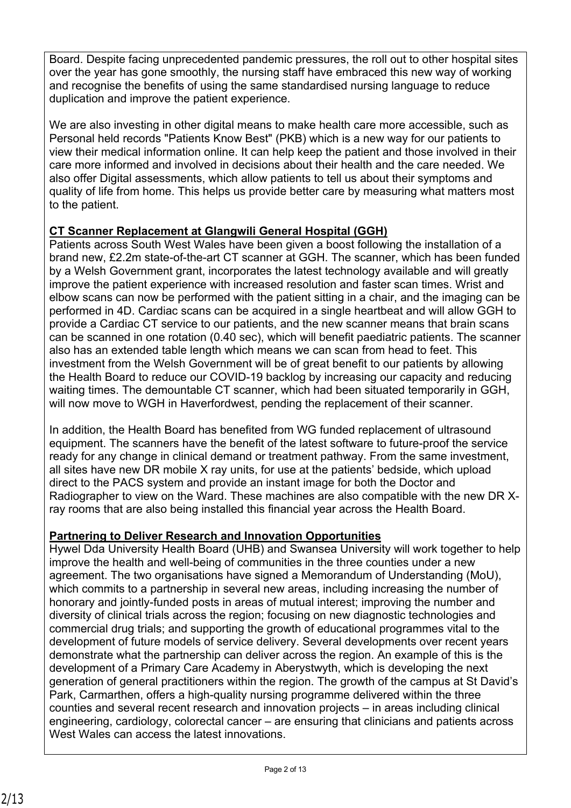Board. Despite facing unprecedented pandemic pressures, the roll out to other hospital sites over the year has gone smoothly, the nursing staff have embraced this new way of working and recognise the benefits of using the same standardised nursing language to reduce duplication and improve the patient experience.

We are also investing in other digital means to make health care more accessible, such as Personal held records "Patients Know Best" (PKB) which is a new way for our patients to view their medical information online. It can help keep the patient and those involved in their care more informed and involved in decisions about their health and the care needed. We also offer Digital assessments, which allow patients to tell us about their symptoms and quality of life from home. This helps us provide better care by measuring what matters most to the patient.

# **CT Scanner Replacement at Glangwili General Hospital (GGH)**

Patients across South West Wales have been given a boost following the installation of a brand new, £2.2m state-of-the-art CT scanner at GGH. The scanner, which has been funded by a Welsh Government grant, incorporates the latest technology available and will greatly improve the patient experience with increased resolution and faster scan times. Wrist and elbow scans can now be performed with the patient sitting in a chair, and the imaging can be performed in 4D. Cardiac scans can be acquired in a single heartbeat and will allow GGH to provide a Cardiac CT service to our patients, and the new scanner means that brain scans can be scanned in one rotation (0.40 sec), which will benefit paediatric patients. The scanner also has an extended table length which means we can scan from head to feet. This investment from the Welsh Government will be of great benefit to our patients by allowing the Health Board to reduce our COVID-19 backlog by increasing our capacity and reducing waiting times. The demountable CT scanner, which had been situated temporarily in GGH, will now move to WGH in Haverfordwest, pending the replacement of their scanner.

In addition, the Health Board has benefited from WG funded replacement of ultrasound equipment. The scanners have the benefit of the latest software to future-proof the service ready for any change in clinical demand or treatment pathway. From the same investment, all sites have new DR mobile X ray units, for use at the patients' bedside, which upload direct to the PACS system and provide an instant image for both the Doctor and Radiographer to view on the Ward. These machines are also compatible with the new DR Xray rooms that are also being installed this financial year across the Health Board.

# **Partnering to Deliver Research and Innovation Opportunities**

Hywel Dda University Health Board (UHB) and Swansea University will work together to help improve the health and well-being of communities in the three counties under a new agreement. The two organisations have signed a Memorandum of Understanding (MoU), which commits to a partnership in several new areas, including increasing the number of honorary and jointly-funded posts in areas of mutual interest; improving the number and diversity of clinical trials across the region; focusing on new diagnostic technologies and commercial drug trials; and supporting the growth of educational programmes vital to the development of future models of service delivery. Several developments over recent years demonstrate what the partnership can deliver across the region. An example of this is the development of a Primary Care Academy in Aberystwyth, which is developing the next generation of general practitioners within the region. The growth of the campus at St David's Park, Carmarthen, offers a high-quality nursing programme delivered within the three counties and several recent research and innovation projects – in areas including clinical engineering, cardiology, colorectal cancer – are ensuring that clinicians and patients across West Wales can access the latest innovations.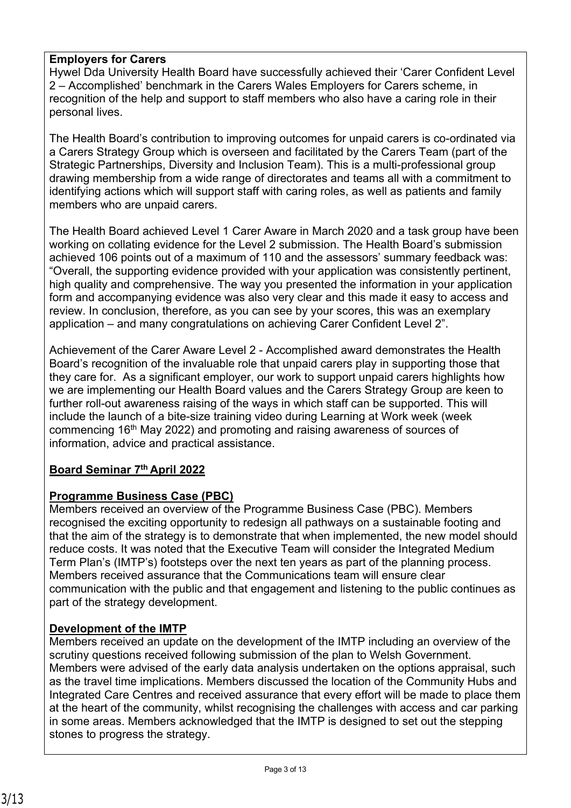### **Employers for Carers**

Hywel Dda University Health Board have successfully achieved their 'Carer Confident Level 2 – Accomplished' benchmark in the Carers Wales Employers for Carers scheme, in recognition of the help and support to staff members who also have a caring role in their personal lives.

The Health Board's contribution to improving outcomes for unpaid carers is co-ordinated via a Carers Strategy Group which is overseen and facilitated by the Carers Team (part of the Strategic Partnerships, Diversity and Inclusion Team). This is a multi-professional group drawing membership from a wide range of directorates and teams all with a commitment to identifying actions which will support staff with caring roles, as well as patients and family members who are unpaid carers.

The Health Board achieved Level 1 Carer Aware in March 2020 and a task group have been working on collating evidence for the Level 2 submission. The Health Board's submission achieved 106 points out of a maximum of 110 and the assessors' summary feedback was: "Overall, the supporting evidence provided with your application was consistently pertinent, high quality and comprehensive. The way you presented the information in your application form and accompanying evidence was also very clear and this made it easy to access and review. In conclusion, therefore, as you can see by your scores, this was an exemplary application – and many congratulations on achieving Carer Confident Level 2".

Achievement of the Carer Aware Level 2 - Accomplished award demonstrates the Health Board's recognition of the invaluable role that unpaid carers play in supporting those that they care for. As a significant employer, our work to support unpaid carers highlights how we are implementing our Health Board values and the Carers Strategy Group are keen to further roll-out awareness raising of the ways in which staff can be supported. This will include the launch of a bite-size training video during Learning at Work week (week commencing 16th May 2022) and promoting and raising awareness of sources of information, advice and practical assistance.

# **Board Seminar 7th April 2022**

# **Programme Business Case (PBC)**

Members received an overview of the Programme Business Case (PBC). Members recognised the exciting opportunity to redesign all pathways on a sustainable footing and that the aim of the strategy is to demonstrate that when implemented, the new model should reduce costs. It was noted that the Executive Team will consider the Integrated Medium Term Plan's (IMTP's) footsteps over the next ten years as part of the planning process. Members received assurance that the Communications team will ensure clear communication with the public and that engagement and listening to the public continues as part of the strategy development.

### **Development of the IMTP**

Members received an update on the development of the IMTP including an overview of the scrutiny questions received following submission of the plan to Welsh Government. Members were advised of the early data analysis undertaken on the options appraisal, such as the travel time implications. Members discussed the location of the Community Hubs and Integrated Care Centres and received assurance that every effort will be made to place them at the heart of the community, whilst recognising the challenges with access and car parking in some areas. Members acknowledged that the IMTP is designed to set out the stepping stones to progress the strategy.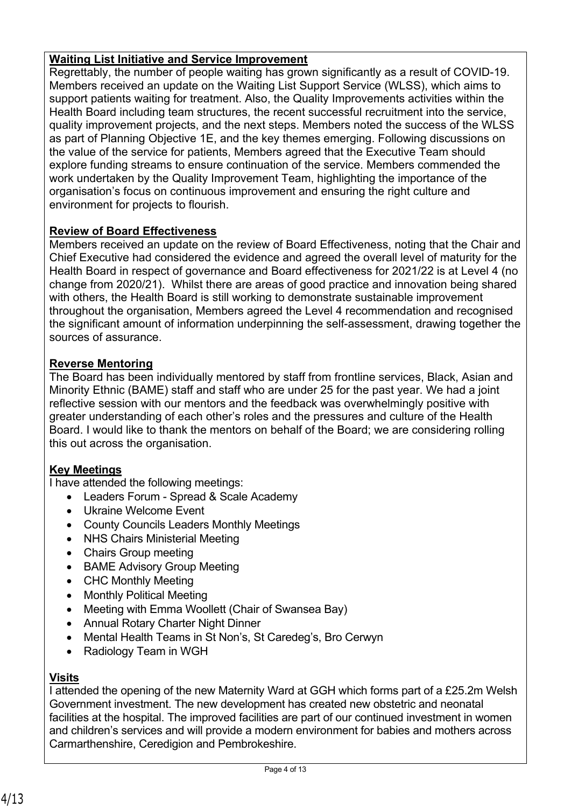### **Waiting List Initiative and Service Improvement**

Regrettably, the number of people waiting has grown significantly as a result of COVID-19. Members received an update on the Waiting List Support Service (WLSS), which aims to support patients waiting for treatment. Also, the Quality Improvements activities within the Health Board including team structures, the recent successful recruitment into the service, quality improvement projects, and the next steps. Members noted the success of the WLSS as part of Planning Objective 1E, and the key themes emerging. Following discussions on the value of the service for patients, Members agreed that the Executive Team should explore funding streams to ensure continuation of the service. Members commended the work undertaken by the Quality Improvement Team, highlighting the importance of the organisation's focus on continuous improvement and ensuring the right culture and environment for projects to flourish.

### **Review of Board Effectiveness**

Members received an update on the review of Board Effectiveness, noting that the Chair and Chief Executive had considered the evidence and agreed the overall level of maturity for the Health Board in respect of governance and Board effectiveness for 2021/22 is at Level 4 (no change from 2020/21). Whilst there are areas of good practice and innovation being shared with others, the Health Board is still working to demonstrate sustainable improvement throughout the organisation, Members agreed the Level 4 recommendation and recognised the significant amount of information underpinning the self-assessment, drawing together the sources of assurance.

### **Reverse Mentoring**

The Board has been individually mentored by staff from frontline services, Black, Asian and Minority Ethnic (BAME) staff and staff who are under 25 for the past year. We had a joint reflective session with our mentors and the feedback was overwhelmingly positive with greater understanding of each other's roles and the pressures and culture of the Health Board. I would like to thank the mentors on behalf of the Board; we are considering rolling this out across the organisation.

### **Key Meetings**

I have attended the following meetings:

- Leaders Forum Spread & Scale Academy
- Ukraine Welcome Event
- County Councils Leaders Monthly Meetings
- NHS Chairs Ministerial Meeting
- Chairs Group meeting
- BAME Advisory Group Meeting
- CHC Monthly Meeting
- Monthly Political Meeting
- Meeting with Emma Woollett (Chair of Swansea Bay)
- Annual Rotary Charter Night Dinner
- Mental Health Teams in St Non's, St Caredeg's, Bro Cerwyn
- Radiology Team in WGH

### **Visits**

I attended the opening of the new Maternity Ward at GGH which forms part of a £25.2m Welsh Government investment. The new development has created new obstetric and neonatal facilities at the hospital. The improved facilities are part of our continued investment in women and children's services and will provide a modern environment for babies and mothers across Carmarthenshire, Ceredigion and Pembrokeshire.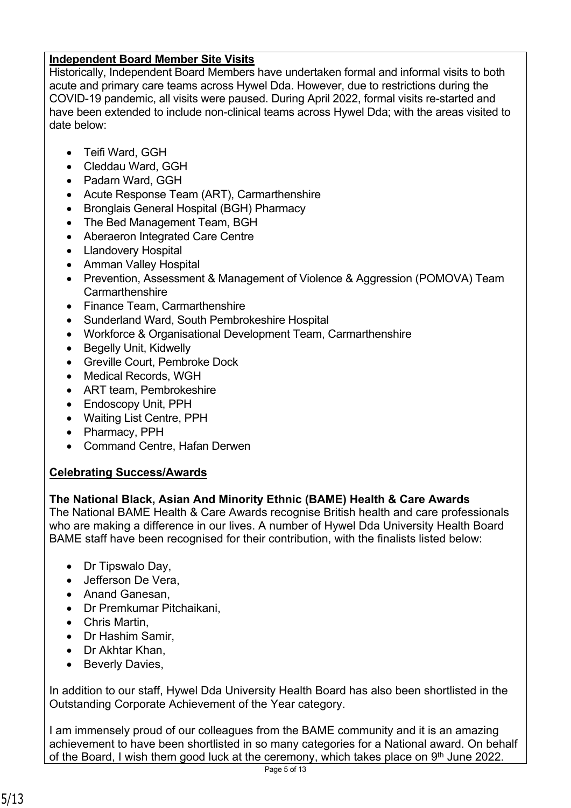### **Independent Board Member Site Visits**

Historically, Independent Board Members have undertaken formal and informal visits to both acute and primary care teams across Hywel Dda. However, due to restrictions during the COVID-19 pandemic, all visits were paused. During April 2022, formal visits re-started and have been extended to include non-clinical teams across Hywel Dda; with the areas visited to date below:

- Teifi Ward, GGH
- Cleddau Ward, GGH
- Padarn Ward, GGH
- Acute Response Team (ART), Carmarthenshire
- Bronglais General Hospital (BGH) Pharmacy
- The Bed Management Team, BGH
- Aberaeron Integrated Care Centre
- Llandovery Hospital
- Amman Valley Hospital
- Prevention, Assessment & Management of Violence & Aggression (POMOVA) Team Carmarthenshire
- Finance Team, Carmarthenshire
- Sunderland Ward, South Pembrokeshire Hospital
- Workforce & Organisational Development Team, Carmarthenshire
- Begelly Unit, Kidwelly
- Greville Court, Pembroke Dock
- Medical Records, WGH
- ART team, Pembrokeshire
- Endoscopy Unit, PPH
- Waiting List Centre, PPH
- Pharmacy, PPH
- Command Centre, Hafan Derwen

# **Celebrating Success/Awards**

### **The National Black, Asian And Minority Ethnic (BAME) Health & Care Awards**

The National BAME Health & Care Awards recognise British health and care professionals who are making a difference in our lives. A number of Hywel Dda University Health Board BAME staff have been recognised for their contribution, with the finalists listed below:

- Dr Tipswalo Day,
- Jefferson De Vera,
- Anand Ganesan,
- Dr Premkumar Pitchaikani,
- Chris Martin,
- Dr Hashim Samir,
- Dr Akhtar Khan,
- Beverly Davies,

In addition to our staff, Hywel Dda University Health Board has also been shortlisted in the Outstanding Corporate Achievement of the Year category.

I am immensely proud of our colleagues from the BAME community and it is an amazing achievement to have been shortlisted in so many categories for a National award. On behalf of the Board, I wish them good luck at the ceremony, which takes place on 9<sup>th</sup> June 2022.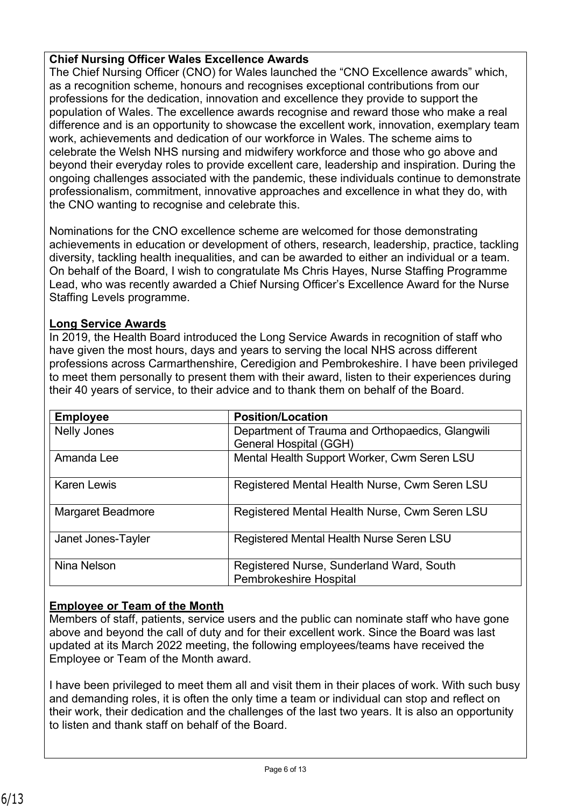### **Chief Nursing Officer Wales Excellence Awards**

The Chief Nursing Officer (CNO) for Wales launched the "CNO Excellence awards" which, as a recognition scheme, honours and recognises exceptional contributions from our professions for the dedication, innovation and excellence they provide to support the population of Wales. The excellence awards recognise and reward those who make a real difference and is an opportunity to showcase the excellent work, innovation, exemplary team work, achievements and dedication of our workforce in Wales. The scheme aims to celebrate the Welsh NHS nursing and midwifery workforce and those who go above and beyond their everyday roles to provide excellent care, leadership and inspiration. During the ongoing challenges associated with the pandemic, these individuals continue to demonstrate professionalism, commitment, innovative approaches and excellence in what they do, with the CNO wanting to recognise and celebrate this.

Nominations for the CNO excellence scheme are welcomed for those demonstrating achievements in education or development of others, research, leadership, practice, tackling diversity, tackling health inequalities, and can be awarded to either an individual or a team. On behalf of the Board, I wish to congratulate Ms Chris Hayes, Nurse Staffing Programme Lead, who was recently awarded a Chief Nursing Officer's Excellence Award for the Nurse Staffing Levels programme.

### **Long Service Awards**

In 2019, the Health Board introduced the Long Service Awards in recognition of staff who have given the most hours, days and years to serving the local NHS across different professions across Carmarthenshire, Ceredigion and Pembrokeshire. I have been privileged to meet them personally to present them with their award, listen to their experiences during their 40 years of service, to their advice and to thank them on behalf of the Board.

| <b>Employee</b>          | <b>Position/Location</b>                                                  |
|--------------------------|---------------------------------------------------------------------------|
| Nelly Jones              | Department of Trauma and Orthopaedics, Glangwili                          |
|                          | General Hospital (GGH)                                                    |
| Amanda Lee               | Mental Health Support Worker, Cwm Seren LSU                               |
| <b>Karen Lewis</b>       | Registered Mental Health Nurse, Cwm Seren LSU                             |
| <b>Margaret Beadmore</b> | Registered Mental Health Nurse, Cwm Seren LSU                             |
| Janet Jones-Tayler       | Registered Mental Health Nurse Seren LSU                                  |
| Nina Nelson              | Registered Nurse, Sunderland Ward, South<br><b>Pembrokeshire Hospital</b> |

# **Employee or Team of the Month**

Members of staff, patients, service users and the public can nominate staff who have gone above and beyond the call of duty and for their excellent work. Since the Board was last updated at its March 2022 meeting, the following employees/teams have received the Employee or Team of the Month award.

I have been privileged to meet them all and visit them in their places of work. With such busy and demanding roles, it is often the only time a team or individual can stop and reflect on their work, their dedication and the challenges of the last two years. It is also an opportunity to listen and thank staff on behalf of the Board.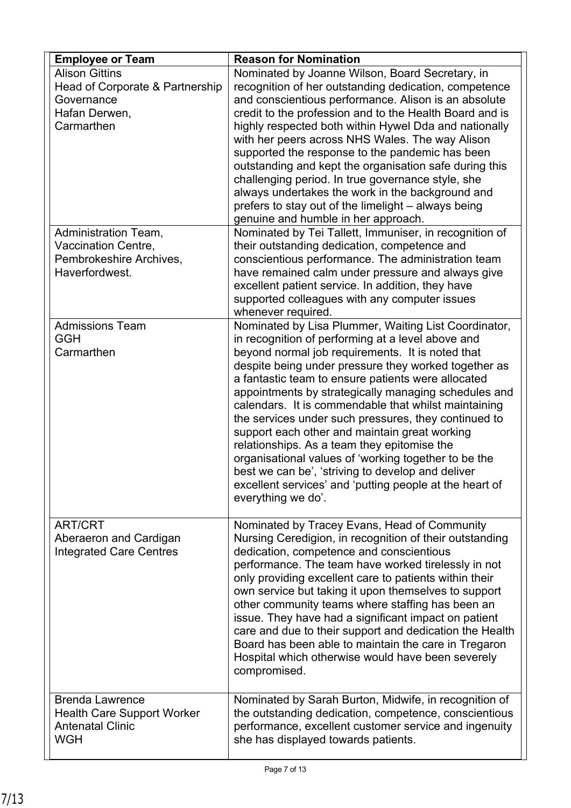| <b>Employee or Team</b>                                                                                | <b>Reason for Nomination</b>                                                                                                                                                                                                                                                                                                                                                                                                                                                                                                                                                                                                                                                                                                                      |
|--------------------------------------------------------------------------------------------------------|---------------------------------------------------------------------------------------------------------------------------------------------------------------------------------------------------------------------------------------------------------------------------------------------------------------------------------------------------------------------------------------------------------------------------------------------------------------------------------------------------------------------------------------------------------------------------------------------------------------------------------------------------------------------------------------------------------------------------------------------------|
| <b>Alison Gittins</b><br>Head of Corporate & Partnership<br>Governance<br>Hafan Derwen,<br>Carmarthen  | Nominated by Joanne Wilson, Board Secretary, in<br>recognition of her outstanding dedication, competence<br>and conscientious performance. Alison is an absolute<br>credit to the profession and to the Health Board and is<br>highly respected both within Hywel Dda and nationally<br>with her peers across NHS Wales. The way Alison<br>supported the response to the pandemic has been<br>outstanding and kept the organisation safe during this<br>challenging period. In true governance style, she<br>always undertakes the work in the background and<br>prefers to stay out of the limelight – always being<br>genuine and humble in her approach.                                                                                       |
| <b>Administration Team,</b><br><b>Vaccination Centre,</b><br>Pembrokeshire Archives,<br>Haverfordwest. | Nominated by Tei Tallett, Immuniser, in recognition of<br>their outstanding dedication, competence and<br>conscientious performance. The administration team<br>have remained calm under pressure and always give<br>excellent patient service. In addition, they have<br>supported colleagues with any computer issues<br>whenever required.                                                                                                                                                                                                                                                                                                                                                                                                     |
| <b>Admissions Team</b><br><b>GGH</b><br>Carmarthen                                                     | Nominated by Lisa Plummer, Waiting List Coordinator,<br>in recognition of performing at a level above and<br>beyond normal job requirements. It is noted that<br>despite being under pressure they worked together as<br>a fantastic team to ensure patients were allocated<br>appointments by strategically managing schedules and<br>calendars. It is commendable that whilst maintaining<br>the services under such pressures, they continued to<br>support each other and maintain great working<br>relationships. As a team they epitomise the<br>organisational values of 'working together to be the<br>best we can be', 'striving to develop and deliver<br>excellent services' and 'putting people at the heart of<br>everything we do'. |
| <b>ART/CRT</b><br>Aberaeron and Cardigan<br><b>Integrated Care Centres</b>                             | Nominated by Tracey Evans, Head of Community<br>Nursing Ceredigion, in recognition of their outstanding<br>dedication, competence and conscientious<br>performance. The team have worked tirelessly in not<br>only providing excellent care to patients within their<br>own service but taking it upon themselves to support<br>other community teams where staffing has been an<br>issue. They have had a significant impact on patient<br>care and due to their support and dedication the Health<br>Board has been able to maintain the care in Tregaron<br>Hospital which otherwise would have been severely<br>compromised.                                                                                                                  |
| <b>Brenda Lawrence</b><br><b>Health Care Support Worker</b><br><b>Antenatal Clinic</b><br><b>WGH</b>   | Nominated by Sarah Burton, Midwife, in recognition of<br>the outstanding dedication, competence, conscientious<br>performance, excellent customer service and ingenuity<br>she has displayed towards patients.                                                                                                                                                                                                                                                                                                                                                                                                                                                                                                                                    |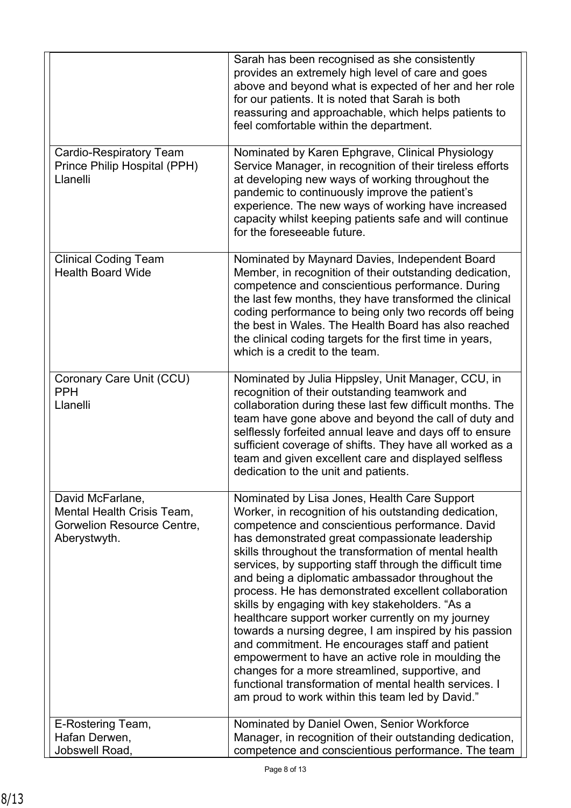|                                                                                              | Sarah has been recognised as she consistently<br>provides an extremely high level of care and goes<br>above and beyond what is expected of her and her role<br>for our patients. It is noted that Sarah is both<br>reassuring and approachable, which helps patients to<br>feel comfortable within the department.                                                                                                                                                                                                                                                                                                                                                                                                                                                                                                                                                                       |
|----------------------------------------------------------------------------------------------|------------------------------------------------------------------------------------------------------------------------------------------------------------------------------------------------------------------------------------------------------------------------------------------------------------------------------------------------------------------------------------------------------------------------------------------------------------------------------------------------------------------------------------------------------------------------------------------------------------------------------------------------------------------------------------------------------------------------------------------------------------------------------------------------------------------------------------------------------------------------------------------|
| <b>Cardio-Respiratory Team</b><br>Prince Philip Hospital (PPH)<br>Llanelli                   | Nominated by Karen Ephgrave, Clinical Physiology<br>Service Manager, in recognition of their tireless efforts<br>at developing new ways of working throughout the<br>pandemic to continuously improve the patient's<br>experience. The new ways of working have increased<br>capacity whilst keeping patients safe and will continue<br>for the foreseeable future.                                                                                                                                                                                                                                                                                                                                                                                                                                                                                                                      |
| <b>Clinical Coding Team</b><br><b>Health Board Wide</b>                                      | Nominated by Maynard Davies, Independent Board<br>Member, in recognition of their outstanding dedication,<br>competence and conscientious performance. During<br>the last few months, they have transformed the clinical<br>coding performance to being only two records off being<br>the best in Wales. The Health Board has also reached<br>the clinical coding targets for the first time in years,<br>which is a credit to the team.                                                                                                                                                                                                                                                                                                                                                                                                                                                 |
| Coronary Care Unit (CCU)<br><b>PPH</b><br>Llanelli                                           | Nominated by Julia Hippsley, Unit Manager, CCU, in<br>recognition of their outstanding teamwork and<br>collaboration during these last few difficult months. The<br>team have gone above and beyond the call of duty and<br>selflessly forfeited annual leave and days off to ensure<br>sufficient coverage of shifts. They have all worked as a<br>team and given excellent care and displayed selfless<br>dedication to the unit and patients.                                                                                                                                                                                                                                                                                                                                                                                                                                         |
| David McFarlane,<br>Mental Health Crisis Team,<br>Gorwelion Resource Centre,<br>Aberystwyth. | Nominated by Lisa Jones, Health Care Support<br>Worker, in recognition of his outstanding dedication,<br>competence and conscientious performance. David<br>has demonstrated great compassionate leadership<br>skills throughout the transformation of mental health<br>services, by supporting staff through the difficult time<br>and being a diplomatic ambassador throughout the<br>process. He has demonstrated excellent collaboration<br>skills by engaging with key stakeholders. "As a<br>healthcare support worker currently on my journey<br>towards a nursing degree, I am inspired by his passion<br>and commitment. He encourages staff and patient<br>empowerment to have an active role in moulding the<br>changes for a more streamlined, supportive, and<br>functional transformation of mental health services. I<br>am proud to work within this team led by David." |
| E-Rostering Team,<br>Hafan Derwen,                                                           | Nominated by Daniel Owen, Senior Workforce<br>Manager, in recognition of their outstanding dedication,                                                                                                                                                                                                                                                                                                                                                                                                                                                                                                                                                                                                                                                                                                                                                                                   |
| Jobswell Road,                                                                               | competence and conscientious performance. The team                                                                                                                                                                                                                                                                                                                                                                                                                                                                                                                                                                                                                                                                                                                                                                                                                                       |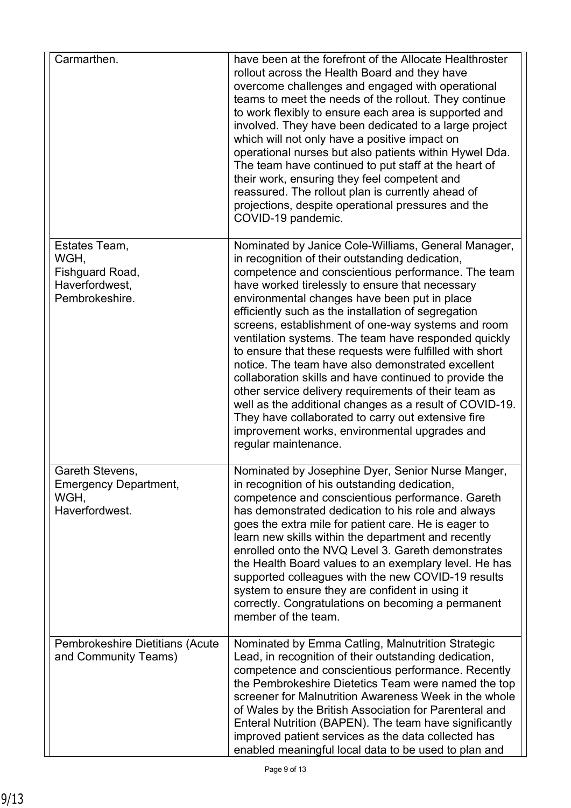| Carmarthen.                                                                  | have been at the forefront of the Allocate Healthroster<br>rollout across the Health Board and they have<br>overcome challenges and engaged with operational<br>teams to meet the needs of the rollout. They continue<br>to work flexibly to ensure each area is supported and<br>involved. They have been dedicated to a large project<br>which will not only have a positive impact on<br>operational nurses but also patients within Hywel Dda.<br>The team have continued to put staff at the heart of<br>their work, ensuring they feel competent and<br>reassured. The rollout plan is currently ahead of<br>projections, despite operational pressures and the<br>COVID-19 pandemic.                                                                                                                                                                      |
|------------------------------------------------------------------------------|------------------------------------------------------------------------------------------------------------------------------------------------------------------------------------------------------------------------------------------------------------------------------------------------------------------------------------------------------------------------------------------------------------------------------------------------------------------------------------------------------------------------------------------------------------------------------------------------------------------------------------------------------------------------------------------------------------------------------------------------------------------------------------------------------------------------------------------------------------------|
| Estates Team,<br>WGH,<br>Fishguard Road,<br>Haverfordwest,<br>Pembrokeshire. | Nominated by Janice Cole-Williams, General Manager,<br>in recognition of their outstanding dedication,<br>competence and conscientious performance. The team<br>have worked tirelessly to ensure that necessary<br>environmental changes have been put in place<br>efficiently such as the installation of segregation<br>screens, establishment of one-way systems and room<br>ventilation systems. The team have responded quickly<br>to ensure that these requests were fulfilled with short<br>notice. The team have also demonstrated excellent<br>collaboration skills and have continued to provide the<br>other service delivery requirements of their team as<br>well as the additional changes as a result of COVID-19.<br>They have collaborated to carry out extensive fire<br>improvement works, environmental upgrades and<br>regular maintenance. |
| Gareth Stevens,<br><b>Emergency Department,</b><br>WGH,<br>Haverfordwest.    | Nominated by Josephine Dyer, Senior Nurse Manger,<br>in recognition of his outstanding dedication,<br>competence and conscientious performance. Gareth<br>has demonstrated dedication to his role and always<br>goes the extra mile for patient care. He is eager to<br>learn new skills within the department and recently<br>enrolled onto the NVQ Level 3. Gareth demonstrates<br>the Health Board values to an exemplary level. He has<br>supported colleagues with the new COVID-19 results<br>system to ensure they are confident in using it<br>correctly. Congratulations on becoming a permanent<br>member of the team.                                                                                                                                                                                                                                 |
| Pembrokeshire Dietitians (Acute<br>and Community Teams)                      | Nominated by Emma Catling, Malnutrition Strategic<br>Lead, in recognition of their outstanding dedication,<br>competence and conscientious performance. Recently<br>the Pembrokeshire Dietetics Team were named the top<br>screener for Malnutrition Awareness Week in the whole<br>of Wales by the British Association for Parenteral and<br>Enteral Nutrition (BAPEN). The team have significantly<br>improved patient services as the data collected has<br>enabled meaningful local data to be used to plan and                                                                                                                                                                                                                                                                                                                                              |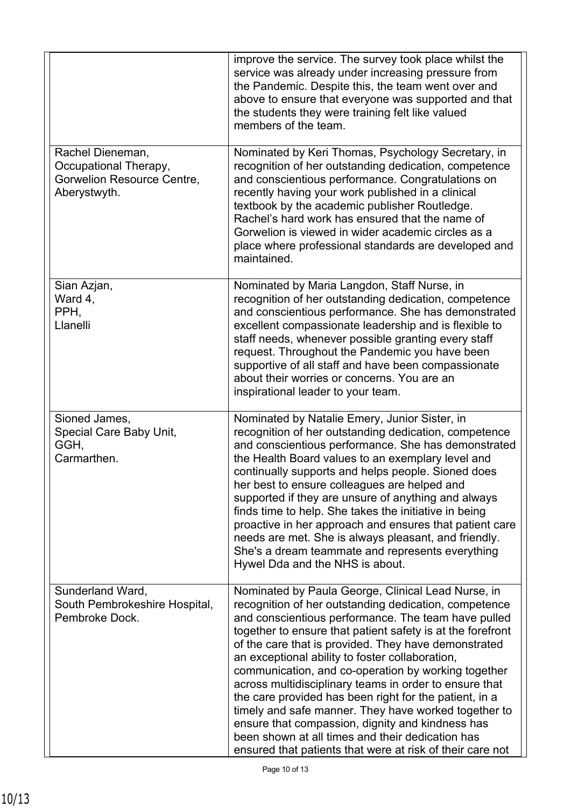|                                                                                         | improve the service. The survey took place whilst the<br>service was already under increasing pressure from<br>the Pandemic. Despite this, the team went over and<br>above to ensure that everyone was supported and that<br>the students they were training felt like valued<br>members of the team.                                                                                                                                                                                                                                                                                                                                                                                                                                               |
|-----------------------------------------------------------------------------------------|-----------------------------------------------------------------------------------------------------------------------------------------------------------------------------------------------------------------------------------------------------------------------------------------------------------------------------------------------------------------------------------------------------------------------------------------------------------------------------------------------------------------------------------------------------------------------------------------------------------------------------------------------------------------------------------------------------------------------------------------------------|
| Rachel Dieneman,<br>Occupational Therapy,<br>Gorwelion Resource Centre,<br>Aberystwyth. | Nominated by Keri Thomas, Psychology Secretary, in<br>recognition of her outstanding dedication, competence<br>and conscientious performance. Congratulations on<br>recently having your work published in a clinical<br>textbook by the academic publisher Routledge.<br>Rachel's hard work has ensured that the name of<br>Gorwelion is viewed in wider academic circles as a<br>place where professional standards are developed and<br>maintained.                                                                                                                                                                                                                                                                                              |
| Sian Azjan,<br>Ward 4,<br>PPH,<br>Llanelli                                              | Nominated by Maria Langdon, Staff Nurse, in<br>recognition of her outstanding dedication, competence<br>and conscientious performance. She has demonstrated<br>excellent compassionate leadership and is flexible to<br>staff needs, whenever possible granting every staff<br>request. Throughout the Pandemic you have been<br>supportive of all staff and have been compassionate<br>about their worries or concerns. You are an<br>inspirational leader to your team.                                                                                                                                                                                                                                                                           |
| Sioned James,<br>Special Care Baby Unit,<br>GGH,<br>Carmarthen.                         | Nominated by Natalie Emery, Junior Sister, in<br>recognition of her outstanding dedication, competence<br>and conscientious performance. She has demonstrated<br>the Health Board values to an exemplary level and<br>continually supports and helps people. Sioned does<br>her best to ensure colleagues are helped and<br>supported if they are unsure of anything and always<br>finds time to help. She takes the initiative in being<br>proactive in her approach and ensures that patient care<br>needs are met. She is always pleasant, and friendly.<br>She's a dream teammate and represents everything<br>Hywel Dda and the NHS is about.                                                                                                  |
| Sunderland Ward,<br>South Pembrokeshire Hospital,<br>Pembroke Dock.                     | Nominated by Paula George, Clinical Lead Nurse, in<br>recognition of her outstanding dedication, competence<br>and conscientious performance. The team have pulled<br>together to ensure that patient safety is at the forefront<br>of the care that is provided. They have demonstrated<br>an exceptional ability to foster collaboration,<br>communication, and co-operation by working together<br>across multidisciplinary teams in order to ensure that<br>the care provided has been right for the patient, in a<br>timely and safe manner. They have worked together to<br>ensure that compassion, dignity and kindness has<br>been shown at all times and their dedication has<br>ensured that patients that were at risk of their care not |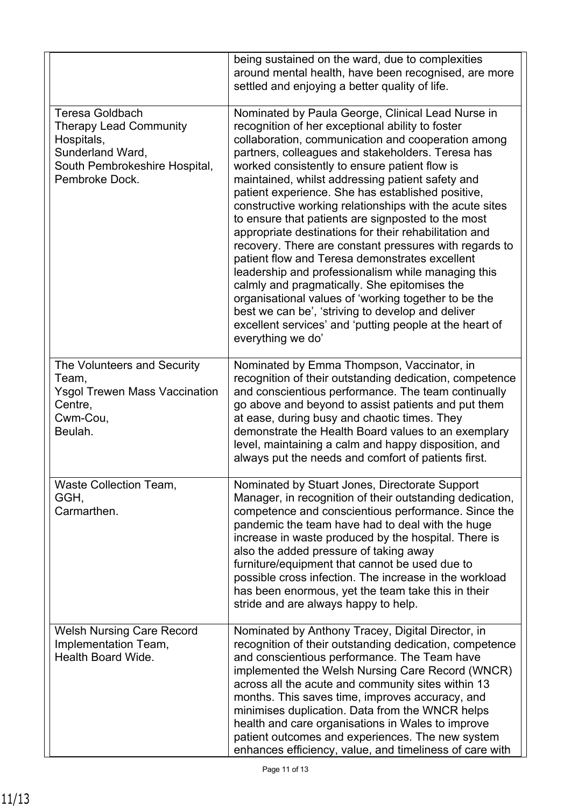|                                                                                                                                              | being sustained on the ward, due to complexities<br>around mental health, have been recognised, are more<br>settled and enjoying a better quality of life.                                                                                                                                                                                                                                                                                                                                                                                                                                                                                                                                                                                                                                                                                                                                                                                                          |
|----------------------------------------------------------------------------------------------------------------------------------------------|---------------------------------------------------------------------------------------------------------------------------------------------------------------------------------------------------------------------------------------------------------------------------------------------------------------------------------------------------------------------------------------------------------------------------------------------------------------------------------------------------------------------------------------------------------------------------------------------------------------------------------------------------------------------------------------------------------------------------------------------------------------------------------------------------------------------------------------------------------------------------------------------------------------------------------------------------------------------|
| <b>Teresa Goldbach</b><br><b>Therapy Lead Community</b><br>Hospitals,<br>Sunderland Ward,<br>South Pembrokeshire Hospital,<br>Pembroke Dock. | Nominated by Paula George, Clinical Lead Nurse in<br>recognition of her exceptional ability to foster<br>collaboration, communication and cooperation among<br>partners, colleagues and stakeholders. Teresa has<br>worked consistently to ensure patient flow is<br>maintained, whilst addressing patient safety and<br>patient experience. She has established positive,<br>constructive working relationships with the acute sites<br>to ensure that patients are signposted to the most<br>appropriate destinations for their rehabilitation and<br>recovery. There are constant pressures with regards to<br>patient flow and Teresa demonstrates excellent<br>leadership and professionalism while managing this<br>calmly and pragmatically. She epitomises the<br>organisational values of 'working together to be the<br>best we can be', 'striving to develop and deliver<br>excellent services' and 'putting people at the heart of<br>everything we do' |
| The Volunteers and Security<br>Team,<br><b>Ysgol Trewen Mass Vaccination</b><br>Centre,<br>Cwm-Cou,<br>Beulah.                               | Nominated by Emma Thompson, Vaccinator, in<br>recognition of their outstanding dedication, competence<br>and conscientious performance. The team continually<br>go above and beyond to assist patients and put them<br>at ease, during busy and chaotic times. They<br>demonstrate the Health Board values to an exemplary<br>level, maintaining a calm and happy disposition, and<br>always put the needs and comfort of patients first.                                                                                                                                                                                                                                                                                                                                                                                                                                                                                                                           |
| <b>Waste Collection Team,</b><br>GGH,<br>Carmarthen.                                                                                         | Nominated by Stuart Jones, Directorate Support<br>Manager, in recognition of their outstanding dedication,<br>competence and conscientious performance. Since the<br>pandemic the team have had to deal with the huge<br>increase in waste produced by the hospital. There is<br>also the added pressure of taking away<br>furniture/equipment that cannot be used due to<br>possible cross infection. The increase in the workload<br>has been enormous, yet the team take this in their<br>stride and are always happy to help.                                                                                                                                                                                                                                                                                                                                                                                                                                   |
| <b>Welsh Nursing Care Record</b><br>Implementation Team,<br>Health Board Wide.                                                               | Nominated by Anthony Tracey, Digital Director, in<br>recognition of their outstanding dedication, competence<br>and conscientious performance. The Team have<br>implemented the Welsh Nursing Care Record (WNCR)<br>across all the acute and community sites within 13<br>months. This saves time, improves accuracy, and<br>minimises duplication. Data from the WNCR helps<br>health and care organisations in Wales to improve<br>patient outcomes and experiences. The new system<br>enhances efficiency, value, and timeliness of care with                                                                                                                                                                                                                                                                                                                                                                                                                    |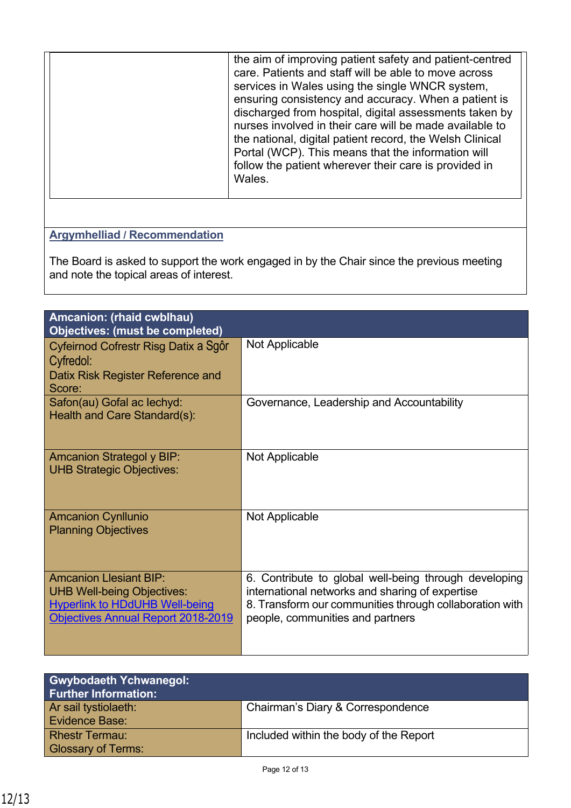|  | the aim of improving patient safety and patient-centred<br>care. Patients and staff will be able to move across<br>services in Wales using the single WNCR system,<br>ensuring consistency and accuracy. When a patient is<br>discharged from hospital, digital assessments taken by<br>nurses involved in their care will be made available to<br>the national, digital patient record, the Welsh Clinical<br>Portal (WCP). This means that the information will<br>follow the patient wherever their care is provided in<br>Wales. |
|--|--------------------------------------------------------------------------------------------------------------------------------------------------------------------------------------------------------------------------------------------------------------------------------------------------------------------------------------------------------------------------------------------------------------------------------------------------------------------------------------------------------------------------------------|
|--|--------------------------------------------------------------------------------------------------------------------------------------------------------------------------------------------------------------------------------------------------------------------------------------------------------------------------------------------------------------------------------------------------------------------------------------------------------------------------------------------------------------------------------------|

### **Argymhelliad / Recommendation**

The Board is asked to support the work engaged in by the Chair since the previous meeting and note the topical areas of interest.

| Amcanion: (rhaid cwblhau)                                                                                                                                |                                                                                                                                                                                                         |
|----------------------------------------------------------------------------------------------------------------------------------------------------------|---------------------------------------------------------------------------------------------------------------------------------------------------------------------------------------------------------|
| <b>Objectives: (must be completed)</b>                                                                                                                   |                                                                                                                                                                                                         |
| Cyfeirnod Cofrestr Risg Datix a Sgôr<br>Cyfredol:<br>Datix Risk Register Reference and<br>Score:                                                         | Not Applicable                                                                                                                                                                                          |
| Safon(au) Gofal ac lechyd:<br>Health and Care Standard(s):                                                                                               | Governance, Leadership and Accountability                                                                                                                                                               |
| <b>Amcanion Strategol y BIP:</b><br><b>UHB Strategic Objectives:</b>                                                                                     | <b>Not Applicable</b>                                                                                                                                                                                   |
| <b>Amcanion Cynllunio</b><br><b>Planning Objectives</b>                                                                                                  | Not Applicable                                                                                                                                                                                          |
| <b>Amcanion Llesiant BIP:</b><br><b>UHB Well-being Objectives:</b><br><b>Hyperlink to HDdUHB Well-being</b><br><b>Objectives Annual Report 2018-2019</b> | 6. Contribute to global well-being through developing<br>international networks and sharing of expertise<br>8. Transform our communities through collaboration with<br>people, communities and partners |

| <b>Gwybodaeth Ychwanegol:</b><br><b>Further Information:</b> |                                        |
|--------------------------------------------------------------|----------------------------------------|
| Ar sail tystiolaeth:                                         | Chairman's Diary & Correspondence      |
| <b>Evidence Base:</b>                                        |                                        |
| <b>Rhestr Termau:</b>                                        | Included within the body of the Report |
| <b>Glossary of Terms:</b>                                    |                                        |